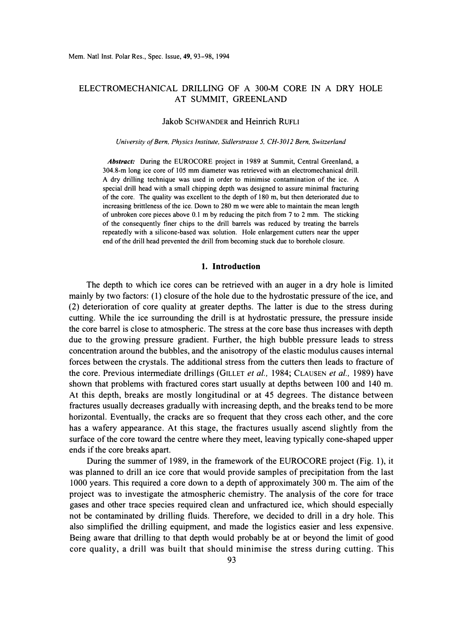# ELECTROMECHANICAL DRILLING OF A 300-M CORE IN A DRY HOLE AT SUMMIT, GREENLAND

#### Jakob SCHWANDER and Heinrich RUFLI

#### *University of Bern, Physics Institute, Sidlerstrasse 5, CH-3012 Bern, Switzerland*

*Abstract:* During the EUROCORE project in 1989 at Summit, Central Greenland, a 304.8-m long ice core of 105 mm diameter was retrieved with an electromechanical drill. A dry drilling technique was used in order to minimise contamination of the ice. A special drill head with a small chipping depth was designed to assure minimal fracturing of the core. The quality was excellent to the depth of 180 m, but then deteriorated due to increasing brittleness of the ice. Down to 280 m we were able to maintain the mean length of unbroken core pieces above 0.1 m by reducing the pitch from 7 to 2 mm. The sticking of the consequently finer chips to the drill barrels was reduced by treating the barrels repeatedly with a silicone-based wax solution. Hole enlargement cutters near the upper end of the drill head prevented the drill from becoming stuck due to borehole closure.

## **1. Introduction**

The depth to which ice cores can be retrieved with an auger in a dry hole is limited mainly by two factors: (1) closure of the hole due to the hydrostatic pressure of the ice, and (2) deterioration of core quality at greater depths. The latter is due to the stress during cutting. While the ice surrounding the drill is at hydrostatic pressure, the pressure inside the core barrel is close to atmospheric. The stress at the core base thus increases with depth due to the growing pressure gradient. Further, the high bubble pressure leads to stress concentration around the bubbles, and the anisotropy of the elastic modulus causes internal forces between the crystals. The additional stress from the cutters then leads to fracture of the core. Previous intermediate drillings (GILLET *et al.,* 1984; CLAUSEN *et al.,* 1989) have shown that problems with fractured cores start usually at depths between 100 and 140 m. At this depth, breaks are mostly longitudinal or at 45 degrees. The distance between fractures usually decreases gradually with increasing depth, and the breaks tend to be more horizontal. Eventually, the cracks are so frequent that they cross each other, and the core has a wafery appearance. At this stage, the fractures usually ascend slightly from the surface of the core toward the centre where they meet, leaving typically cone-shaped upper ends if the core breaks apart.

During the summer of 1989, in the framework of the EUROCORE project (Fig. 1), it was planned to drill an ice core that would provide samples of precipitation from the last I 000 years. This required a core down to a depth of approximately 300 m. The aim of the project was to investigate the atmospheric chemistry. The analysis of the core for trace gases and other trace species required clean and unfractured ice, which should especially not be contaminated by drilling fluids. Therefore, we decided to drill in a dry hole. This also simplified the drilling equipment, and made the logistics easier and less expensive. Being aware that drilling to that depth would probably be at or beyond the limit of good core quality, a drill was built that should minimise the stress during cutting. This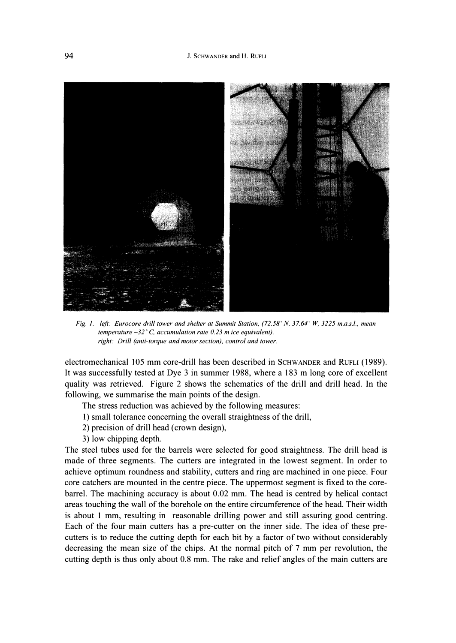

Fig. 1. left: Eurocore drill tower and shelter at Summit Station,  $(72.58° N, 37.64° W, 3225 m.a.s.l., mean$ <br>temperature -32° C, accumulation rate 0.23 m ice equivalent). *right: Drill (anti-torque and motor section), control and tower.* 

electromechanical 105 mm core-drill has been described in SCHWANDER and RUFLI (1989). It was successfully tested at Dye 3 in summer 1988, where a 183 m long core of excellent quality was retrieved. Figure 2 shows the schematics of the drill and drill head. In the following, we summarise the main points of the design.

The stress reduction was achieved by the following measures:

- 1) small tolerance concerning the overall straightness of the drill,
- 2) precision of drill head ( crown design),
- 3) low chipping depth.

The steel tubes used for the barrels were selected for good straightness. The drill head is made of three segments. The cutters are integrated in the lowest segment. In order to achieve optimum roundness and stability, cutters and ring are machined in one piece. Four core catchers are mounted in the centre piece. The uppermost segment is fixed to the corebarrel. The machining accuracy is about 0.02 mm. The head is centred by helical contact areas touching the wall of the borehole on the entire circumference of the head. Their width is about 1 mm, resulting in reasonable drilling power and still assuring good centring. Each of the four main cutters has a pre-cutter on the inner side. The idea of these precutters is to reduce the cutting depth for each bit by a factor of two without considerably decreasing the mean size of the chips. At the normal pitch of 7 mm per revolution, the cutting depth is thus only about 0.8 mm. The rake and relief angles of the main cutters are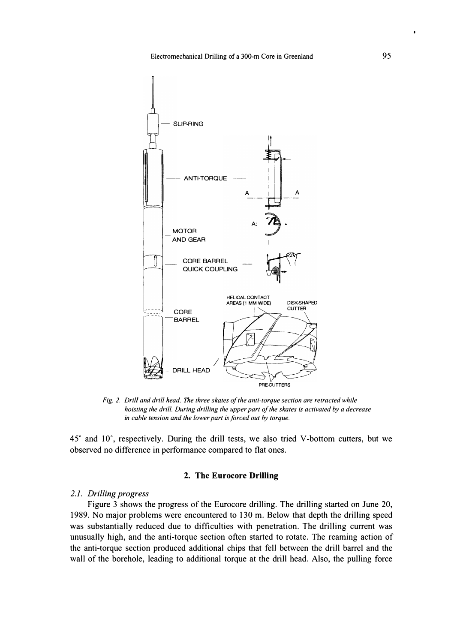

*Fig. 2. Drill and drill head. The three skates of the anti-torque section are retracted while hoisting the drill. During drilling the upper part of the skates is activated by a decrease in cable tension and the lower part is forced out by torque.* 

**45**° **and 10**° **, respectively. During the drill tests, we also tried V-bottom cutters, but we observed no difference in performance compared to flat ones.** 

## **2. The Eurocore Drilling**

#### *2.1. Drilling progress*

**Figure 3 shows the progress of the Eurocore drilling. The drilling started on June 20, 1989. No major problems were encountered to 130 m. Below that depth the drilling speed was substantially reduced due to difficulties with penetration. The drilling current was unusually high, and the anti-torque section often started to rotate. The reaming action of the anti-torque section produced additional chips that fell between the drill barrel and the wall of the borehole, leading to additional torque at the drill head. Also, the pulling force**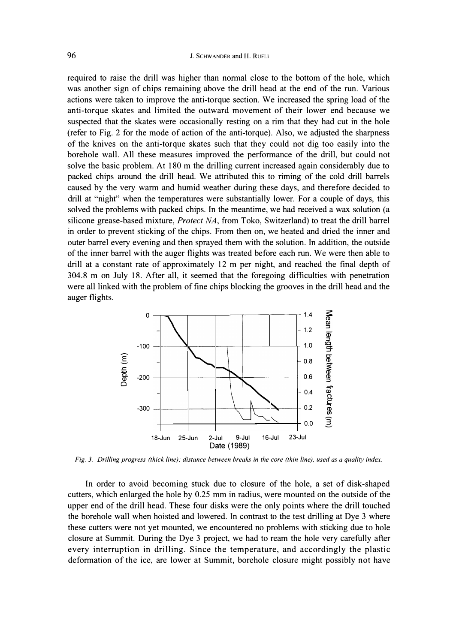required to raise the drill was higher than normal close to the bottom of the hole, which was another sign of chips remaining above the drill head at the end of the run. Various actions were taken to improve the anti-torque section. We increased the spring load of the anti-torque skates and limited the outward movement of their lower end because we suspected that the skates were occasionally resting on a rim that they had cut in the hole (refer to Fig. 2 for the mode of action of the anti-torque). Also, we adjusted the sharpness of the knives on the anti-torque skates such that they could not dig too easily into the borehole wall. All these measures improved the performance of the drill, but could not solve the basic problem. At 180 m the drilling current increased again considerably due to packed chips around the drill head. We attributed this to riming of the cold drill barrels caused by the very warm and humid weather during these days, and therefore decided to drill at "night" when the temperatures were substantially lower. For a couple of days, this solved the problems with packed chips. In the meantime, we had received a wax solution ( a silicone grease-based mixture, *Protect NA,* from Toko, Switzerland) to treat the drill barrel in order to prevent sticking of the chips. From then on, we heated and dried the inner and outer barrel every evening and then sprayed them with the solution. In addition, the outside of the inner barrel with the auger flights was treated before each run. We were then able to drill at a constant rate of approximately 12 m per night, and reached the final depth of 304.8 m on July 18. After all, it seemed that the foregoing difficulties with penetration were all linked with the problem of fine chips blocking the grooves in the drill head and the auger flights.



*Fig. 3. Drilling progress (thick line); distance between breaks in the core (thin line). used as a quality index.* 

In order to avoid becoming stuck due to closure of the hole, a set of disk-shaped cutters, which enlarged the hole by 0.25 mm in radius, were mounted on the outside of the upper end of the drill head. These four disks were the only points where the drill touched the borehole wall when hoisted and lowered. In contrast to the test drilling at Dye 3 where these cutters were not yet mounted, we encountered no problems with sticking due to hole closure at Summit. During the Dye 3 project, we had to ream the hole very carefully after every interruption in drilling. Since the temperature, and accordingly the plastic deformation of the ice, are lower at Summit, borehole closure might possibly not have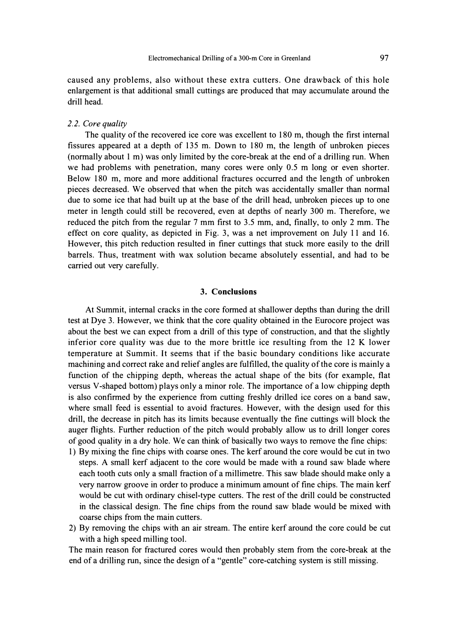**caused any problems, also without these extra cutters. One drawback of this hole enlargement is that additional small cuttings are produced that may accumulate around the drill head.** 

# *2.2. Core quality*

**The quality of the recovered ice core was excellent to 180 m, though the first internal fissures appeared at a depth of 135 m. Down to 180 m, the length of unbroken pieces (normally about 1 m) was only limited by the core-break at the end of a drilling run. When we had problems with penetration, many cores were only 0.5 m long or even shorter. Below 180 m, more and more additional fractures occurred and the length of unbroken pieces decreased. We observed that when the pitch was accidentally smaller than normal due to some ice that had built up at the base of the drill head, unbroken pieces up to one meter in length could still be recovered, even at depths of nearly 300 m. Therefore, we reduced the pitch from the regular 7 mm first to 3.5 mm, and, finally, to only 2 mm. The effect on core quality, as depicted in Fig. 3, was a net improvement on July 11 and 16. However, this pitch reduction resulted in finer cuttings that stuck more easily to the drill barrels. Thus, treatment with wax solution became absolutely essential, and had to be carried out very carefully.** 

### **3. Conclusions**

**At Summit, internal cracks in the core formed at shallower depths than during the drill test at Dye 3. However, we think that the core quality obtained in the Eurocore project was about the best we can expect from a drill of this type of construction, and that the slightly inferior core quality was due to the more brittle ice resulting from the 12 K lower temperature at Summit. It seems that if the basic boundary conditions like accurate machining and correct rake and relief angles are fulfilled, the quality of the core is mainly a function of the chipping depth, whereas the actual shape of the bits (for example, flat versus V-shaped bottom) plays only a minor role. The importance of a low chipping depth is also confirmed by the experience from cutting freshly drilled ice cores on a band saw, where small feed is essential to avoid fractures. However, with the design used for this drill, the decrease in pitch has its limits because eventually the fine cuttings will block the auger flights. Further reduction of the pitch would probably allow us to drill longer cores of good quality in a dry hole. We can think of basically two ways to remove the fine chips:** 

- **1) By mixing the fine chips with coarse ones. The kerf around the core would be cut in two steps. A small kerf adjacent to the core would be made with a round saw blade where each tooth cuts only a small fraction of a millimetre. This saw blade should make only a very narrow groove in order to produce a minimum amount of fine chips. The main kerf would be cut with ordinary chisel-type cutters. The rest of the drill could be constructed in the classical design. The fine chips from the round saw blade would be mixed with coarse chips from the main cutters.**
- **2) By removing the chips with an air stream. The entire kerf around the core could be cut with a high speed milling tool.**

**The main reason for fractured cores would then probably stem from the core-break at the end of a drilling run, since the design of a "gentle" core-catching system is still missing.**